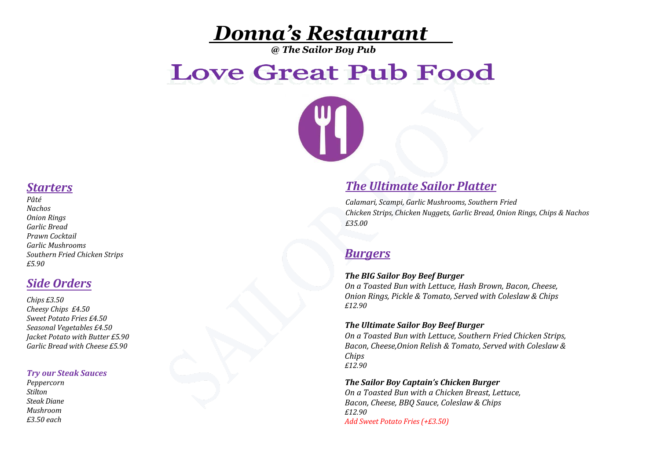# *Donna's Restaurant*

*@ The Sailor Boy Pub*

# **Love Great Pub Food**

### *Starters*

*Pâté Nachos Onion Rings Garlic Bread Prawn Cocktail Garlic Mushrooms Southern Fried Chicken Strips £5.90*

## *Side Orders*

*Chips £3.50 Cheesy Chips £4.50 Sweet Potato Fries £4.50 Seasonal Vegetables £4.50 Jacket Potato with Butter £5.90 Garlic Bread with Cheese £5.90* 

#### *Try our Steak Sauces*

*Peppercorn Stilton Steak Diane Mushroom £3.50 each* 

## *The Ultimate Sailor Platter*

*Calamari, Scampi, Garlic Mushrooms, Southern Fried Chicken Strips, Chicken Nuggets, Garlic Bread, Onion Rings, Chips & Nachos £35.00*

## *Burgers*

#### *The BIG Sailor Boy Beef Burger*

*On a Toasted Bun with Lettuce, Hash Brown, Bacon, Cheese, Onion Rings, Pickle & Tomato, Served with Coleslaw & Chips £12.90*

#### *The Ultimate Sailor Boy Beef Burger*

*On a Toasted Bun with Lettuce, Southern Fried Chicken Strips, Bacon, Cheese,Onion Relish & Tomato, Served with Coleslaw & Chips £12.90*

#### *The Sailor Boy Captain's Chicken Burger*

*On a Toasted Bun with a Chicken Breast, Lettuce, Bacon, Cheese, BBQ Sauce, Coleslaw & Chips £12.90 Add Sweet Potato Fries (+£3.50)*